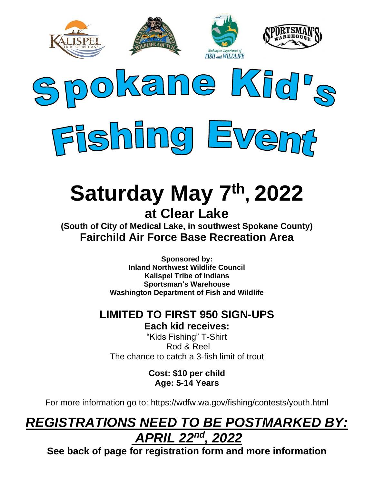



# **Saturday May 7 th , 2022 at Clear Lake**

**(South of City of Medical Lake, in southwest Spokane County) Fairchild Air Force Base Recreation Area**

> **Sponsored by: Inland Northwest Wildlife Council Kalispel Tribe of Indians Sportsman's Warehouse Washington Department of Fish and Wildlife**

### **LIMITED TO FIRST 950 SIGN-UPS**

**Each kid receives:**

"Kids Fishing" T-Shirt Rod & Reel The chance to catch a 3-fish limit of trout

> **Cost: \$10 per child Age: 5-14 Years**

For more information go to: https://wdfw.wa.gov/fishing/contests/youth.html

## *REGISTRATIONS NEED TO BE POSTMARKED BY: APRIL 22nd, 2022*

**See back of page for registration form and more information**